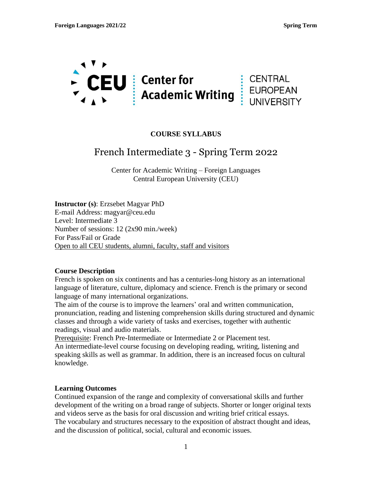

## **COURSE SYLLABUS**

# French Intermediate 3 - Spring Term 2022

Center for Academic Writing – Foreign Languages Central European University (CEU)

**Instructor (s)**: Erzsebet Magyar PhD E-mail Address: magyar@ceu.edu Level: Intermediate 3 Number of sessions: 12 (2x90 min./week) For Pass/Fail or Grade Open to all CEU students, alumni, faculty, staff and visitors

#### **Course Description**

French is spoken on six continents and has a centuries-long history as an international language of literature, culture, diplomacy and science. French is the primary or second language of many international organizations.

The aim of the course is to improve the learners' oral and written communication, pronunciation, reading and listening comprehension skills during structured and dynamic classes and through a wide variety of tasks and exercises, together with authentic readings, visual and audio materials.

Prerequisite: French Pre-Intermediate or Intermediate 2 or Placement test. An intermediate-level course focusing on developing reading, writing, listening and speaking skills as well as grammar. In addition, there is an increased focus on cultural

knowledge.

#### **Learning Outcomes**

Continued expansion of the range and complexity of conversational skills and further development of the writing on a broad range of subjects. Shorter or longer original texts and videos serve as the basis for oral discussion and writing brief critical essays. The vocabulary and structures necessary to the exposition of abstract thought and ideas, and the discussion of political, social, cultural and economic issues.